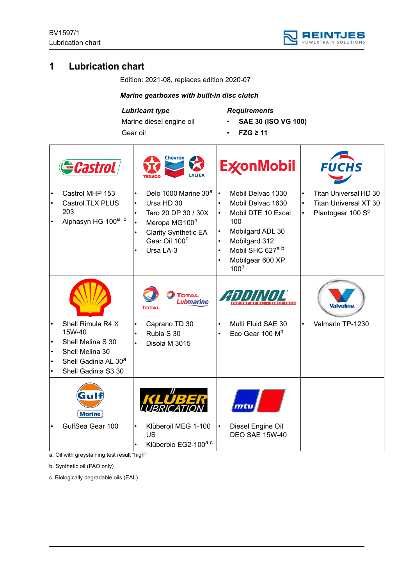

# **1 Lubrication chart**

Edition: 2021-08, replaces edition 2020-07

## *Marine gearboxes with built-in disc clutch*

*Lubricant type*

Gear oil

Marine diesel engine oil

*Requirements*

- **SAE 30 (ISO VG 100)**
- **FZG ≥ 11**

| Gastrol<br>Castrol MHP 153                                                                                                     |                                                                                   | Chevron<br>Delo 1000 Marine 30 <sup>a</sup>             | $\bullet$                                                                  | <b>ExconMobil</b><br>Mobil Delvac 1330                                                                                                                      | $\bullet$ | <b>FUCHS</b><br>Titan Universal HD 30                         |
|--------------------------------------------------------------------------------------------------------------------------------|-----------------------------------------------------------------------------------|---------------------------------------------------------|----------------------------------------------------------------------------|-------------------------------------------------------------------------------------------------------------------------------------------------------------|-----------|---------------------------------------------------------------|
| Castrol TLX PLUS<br>203<br>Alphasyn HG 100 <sup>a b</sup>                                                                      | Ursa HD 30<br>Meropa MG100 <sup>a</sup><br>Gear Oil 100 <sup>c</sup><br>Ursa LA-3 | Taro 20 DP 30 / 30X<br><b>Clarity Synthetic EA</b>      | $\bullet$<br>$\bullet$<br>$\bullet$<br>$\bullet$<br>$\bullet$<br>$\bullet$ | Mobil Delvac 1630<br>Mobil DTE 10 Excel<br>100<br>Mobilgard ADL 30<br>Mobilgard 312<br>Mobil SHC 627 <sup>a b</sup><br>Mobilgear 600 XP<br>100 <sup>a</sup> | $\bullet$ | <b>Titan Universal XT 30</b><br>Plantogear 100 S <sup>c</sup> |
|                                                                                                                                | Тотаι                                                                             | <b>TOTAL</b><br><b>Lubmarine</b>                        |                                                                            | ANITITITI                                                                                                                                                   |           |                                                               |
| Shell Rimula R4 X<br>15W-40<br>Shell Melina S 30<br>Shell Melina 30<br>Shell Gadinia AL 30 <sup>a</sup><br>Shell Gadinia S3 30 | Caprano TD 30<br>Rubia S 30<br>Disola M 3015                                      |                                                         | ٠                                                                          | Multi Fluid SAE 30<br>Eco Gear 100 M <sup>a</sup>                                                                                                           | $\bullet$ | Valmarin TP-1230                                              |
| qп<br><b>Marine</b>                                                                                                            |                                                                                   |                                                         |                                                                            |                                                                                                                                                             |           |                                                               |
| GulfSea Gear 100                                                                                                               | <b>US</b>                                                                         | Klüberoil MEG 1-100<br>Klüberbio EG2-100 <sup>a c</sup> | $\bullet$                                                                  | Diesel Engine Oil<br><b>DEO SAE 15W-40</b>                                                                                                                  |           |                                                               |

a. Oil with greystaining test result "high"

b. Synthetic oil (PAO only)

c. Biologically degradable oils (EAL)